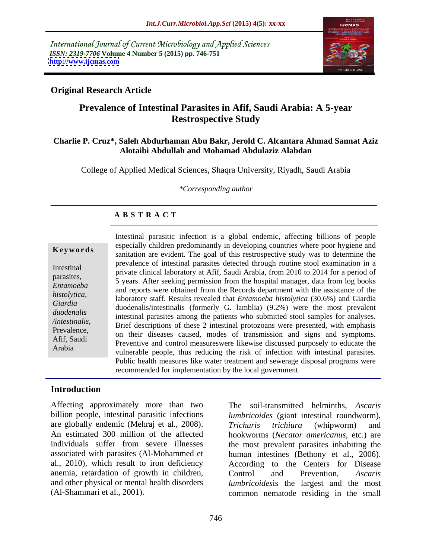International Journal of Current Microbiology and Applied Sciences *ISSN: 2319-7706* **Volume 4 Number 5 (2015) pp. 746-751 <http://www.ijcmas.com>**



### **Original Research Article**

# **Prevalence of Intestinal Parasites in Afif, Saudi Arabia: A 5-year Restrospective Study**

#### **Charlie P. Cruz\*, Saleh Abdurhaman Abu Bakr, Jerold C. Alcantara Ahmad Sannat Aziz Alotaibi Abdullah and Mohamad Abdulaziz Alabdan**

College of Applied Medical Sciences, Shaqra University, Riyadh, Saudi Arabia

*\*Corresponding author*

## **A B S T R A C T**

Arabia

Intestinal parasitic infection is a global endemic, affecting billions of people especially children predominantly in developing countries where poor hygiene and **Keywords** sanitation are evident. The goal of this restrospective study was to determine the prevalence of intestinal parasites detected through routine stool examination in a Intestinal<br>
private clinical laboratory at Afif, Saudi Arabia, from 2010 to 2014 for a period of parasites,<br>5 years. After seeking permission from the hospital manager, data from log books Entamoeba<br>and reports were obtained from the Records department with the assistance of the laboratory staff. Results revealed that *Entamoeba histolytica* (30.6%) and Giardia *histolytica,*  duodenalis/intestinalis (formerly G. lamblia) (9.2%) were the most prevalent *Giardia* duodenalis intestinal parasites among the patients who submitted stool samples for analyses. Brief descriptions of these 2 intestinal protozoans were presented, with emphasis */intestinalis,* Prevalence,<br>on their diseases caused, modes of transmission and signs and symptoms. Afff, Saudi<br>Archive and control measureswere likewise discussed purposely to educate the vulnerable people, thus reducing the risk of infection with intestinal parasites. Public health measures like water treatment and sewerage disposal programs were recommended for implementation by the local government.

### **Introduction**

Affecting approximately more than two The soil-transmitted helminths, *Ascaris* are globally endemic (Mehraj et al., 2008). Trichuris trichiura (whipworm) and associated with parasites (Al-Mohammed et anemia, retardation of growth in children, Control and Prevention, Ascaris

billion people, intestinal parasitic infections *lumbricoides* (giant intestinal roundworm), An estimated 300 million of the affected hookworms (*Necator americanus*, etc.) are individuals suffer from severe illnesses the most prevalent parasites inhabiting the al., 2010), which result to iron deficiency According to the Centers for Disease and other physical or mental health disorders *lumbricoides*is the largest and the most (Al-Shammari et al., 2001). common nematode residing in the small *Trichuris trichiura* (whipworm) and human intestines (Bethony et al., 2006). Control and Prevention, *Ascaris*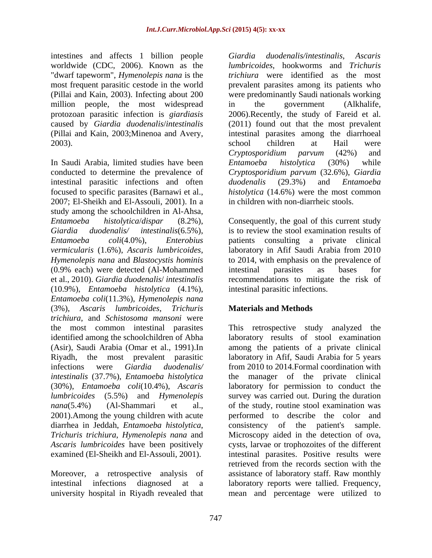intestines and affects 1 billion people Giardia duodenalis/intestinalis, Ascaris worldwide (CDC, 2006). Known as the "dwarf tapeworm", *Hymenolepis nana* is the (Pillai and Kain, 2003;Minenoa and Avery,

In Saudi Arabia, limited studies have been *Entamoeba histolytica* (30%) while conducted to determine the prevalence of *Cryptosporidium parvum* (32.6%), *Giardia* intestinal parasitic infections and often *duodenalis* (29.3%) and *Entamoeba* focused to specific parasites (Barnawi et al., 2007; El-Sheikh and El-Assouli, 2001). In a study among the schoolchildren in Al-Ahsa, (0.9% each) were detected (Al-Mohammed (10.9%), *Entamoeba histolytica* (4.1%), *Entamoeba coli*(11.3%), *Hymenolepis nana* (3%), *Ascaris lumbricoides*, *Trichuris trichiura*, and *Schistosoma mansoni* were (Asir), Saudi Arabia (Omar et al., 1991).In (30%), *Entamoeba coli*(10.4%), *Ascaris* 

most frequent parasitic cestode in the world prevalent parasites among its patients who (Pillai and Kain, 2003). Infecting about 200 were predominantly Saudi nationals working million people, the most widespread in the government (Alkhalife, protozoan parasitic infection is *giardiasis* 2006).Recently, the study of Fareid et al. caused by *Giardia duodenalis*/*intestinalis* (2011) found out that the most prevalent 2003). School children at Hail were *Giardia duodenalis/intestinalis*, *Ascaris lumbricoides*, hookworms and *Trichuris trichiura* were identified as the most in the government (Alkhalife, intestinal parasites among the diarrhoeal school children at Hail were *Cryptosporidium parvum* (42%) and *Entamoeba histolytica* (30%) while *duodenalis* (29.3%) and *Entamoeba histolytica* (14.6%) were the most common in children with non-diarrheic stools.

*Entamoeba histolytica*/*dispar* (8.2%), Consequently, the goal of this current study *Giardia duodenalis/ intestinalis*(6.5%), is to review the stool examination results of *Entamoeba coli*(4.0%), *Enterobius* patients consulting a private clinical *vermicularis* (1.6%), *Ascaris lumbricoides*, laboratory in Afif Saudi Arabia from 2010 *Hymenolepis nana* and *Blastocystis hominis* to 2014, with emphasis on the prevalence of et al., 2010). *Giardia duodenalis*/ *intestinalis* recommendations to mitigate the risk of intestinal parasites as bases for intestinal parasitic infections.

## **Materials and Methods**

the most common intestinal parasites This retrospective study analyzed the identified among the schoolchildren of Abha laboratory results of stool examination Riyadh, the most prevalent parasitic laboratory in Afif, Saudi Arabia for 5 years infections were *Giardia duodenalis/* from 2010 to 2014.Formal coordination with *intestinalis* (37.7%), *Entamoeba histolytica* the manager of the private clinical *lumbricoides* (5.5%) and *Hymenolepis*  survey was carried out. During the duration *nana*(5.4%) (Al-Shammari et al., of the study, routine stool examination was 2001).Among the young children with acute performed to describe the color and diarrhea in Jeddah, *Entamoeba histolytica*, consistency of the patient's sample. *Trichuris trichiura*, *Hymenolepis nana* and Microscopy aided in the detection of ova, *Ascaris lumbricoides* have been positively cysts, larvae or trophozoites of the different examined (El-Sheikh and El-Assouli, 2001). intestinal parasites. Positive results were Moreover, a retrospective analysis of assistance of laboratory staff. Raw monthly intestinal infections diagnosed at a laboratory reports were tallied. Frequency, university hospital in Riyadh revealed that mean and percentage were utilized toamong the patients of a private clinical laboratory for permission to conduct the retrieved from the records section with the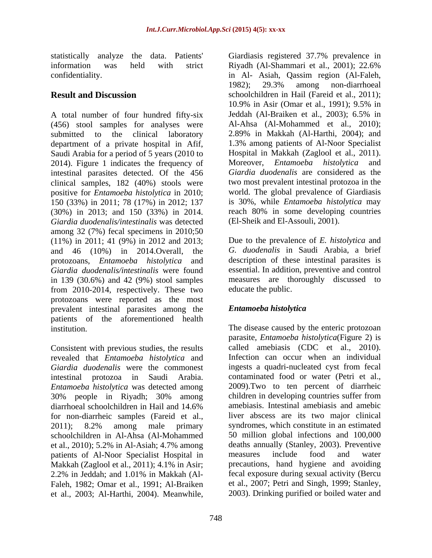statistically analyze the data. Patients'

A total number of four hundred fifty-six Jeddah (Al-Braiken et al., 2003); 6.5% in (456) stool samples for analyses were submitted to the clinical laboratory 2.89% in Makkah (Al-Harthi, 2004); and department of a private hospital in Afif, Saudi Arabia for a period of 5 years (2010 to 2014). Figure 1 indicates the frequency of intestinal parasites detected. Of the 456 clinical samples, 182 (40%) stools were positive for *Entamoeba histolytica* in 2010; 150 (33%) in 2011; 78 (17%) in 2012; 137 (30%) in 2013; and 150 (33%) in 2014. *Giardia duodenalis/intestinalis* was detected among 32 (7%) fecal specimens in 2010;50 (11%) in 2011; 41 (9%) in 2012 and 2013; Due to the prevalence of *E. histolytica* and and 46 (10%) in 2014.Overall, the protozoans, *Entamoeba histolytica* and *Giardia duodenalis/intestinalis* were found in 139 (30.6%) and 42 (9%) stool samples from 2010-2014, respectively. These two protozoans were reported as the most prevalent intestinal parasites among the **Entamoeba histolytica** patients of the aforementioned health stationally analyse the data. Particular is consistent as the stational of the stational of the stationally. Al-Marthim (Al-Harthi, 2008). Al-Marthim (Al-Harthim Constrained Constrained Constrained Constrained Constrained

Consistent with previous studies, the results revealed that *Entamoeba histolytica* and *Giardia duodenalis* were the commonest *Entamoeba histolytica* was detected among 2009). Two to ten percent of diarrheic 30% people in Rivadh: 30% among children in developing countries suffer from for non-diarrheic samples (Fareid et al., schoolchildren in Al-Ahsa (Al-Mohammed et al., 2010); 5.2% in Al-Asiah; 4.7% among deaths annually (Stanley, 200 nations of Al-Noor Specialist Hospital in measures include food patients of Al-Noor Specialist Hospital in Makkah (Zaglool et al., 2011); 4.1% in Asir; Faleh, 1982; Omar et al., 1991; Al-Braiken

information was held with strict Riyadh (Al-Shammari et al., 2001); 22.6% confidentiality. in Al- Asiah, Qassim region (Al-Faleh, **Result and Discussion** schoolchildren in Hail (Fareid et al., 2011); 1982); 29.3% among non-diarrhoeal 10.9% in Asir (Omar et al., 1991); 9.5% in Jeddah (Al-Braiken et al., 2003); 6.5% in Al-Ahsa (Al-Mohammed et al., 2010); 1.3% among patients of Al-Noor Specialist Hospital in Makkah (Zaglool et al., 2011). Moreover, *Entamoeba histolytica* and *Giardia duodenalis* are considered as the two most prevalent intestinal protozoa in the world. The global prevalence of Giardiasis is 30%, while *Entamoeba histolytica* may reach 80% in some developing countries (El-Sheik and El-Assouli, 2001).

> *G. duodenalis* in Saudi Arabia, a brief description of these intestinal parasites is essential. In addition, preventive and control measures are thoroughly discussed to educate the public.

## *Entamoeba histolytica*

institution. The disease caused by the enteric protozoan intestinal protozoa in Saudi Arabia. contaminated food or water (Petri et al., 30% people in Riyadh; 30% among diarrhoeal schoolchildren in Hail and 14.6% 2011); 8.2% among male primary syndromes, which constitute in an estimated 2.2% in Jeddah; and 1.01% in Makkah (Al parasite, *Entamoeba histolytica*(Figure 2) is called amebiasis (CDC et al., 2010). Infection can occur when an individual ingests a quadri-nucleated cyst from fecal 2009).Two to ten percent of diarrheic children in developing countries suffer from amebiasis. Intestinal amebiasis and amebic liver abscess are its two major clinical syndromes, which constitute in an estimated 50 million global infections and 100,000 deaths annually (Stanley, 2003). Preventive measures include food and water precautions, hand hygiene and avoiding fecal exposure during sexual activity (Bercu et al., 2007; Petri and Singh,1999; Stanley, 2003). Drinking purified or boiled water and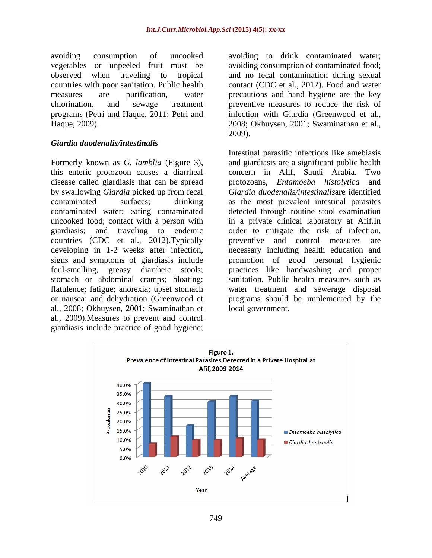avoiding consumption of uncooked avoiding to drink contaminated water; vegetables or unpeeled fruit must be avoiding consumption of contaminated food; observed when traveling to tropical and no fecal contamination during sexual countries with poor sanitation. Public health contact (CDC et al., 2012). Food and water measures are purification, water precautions and hand hygiene are the key chlorination, and sewage treatment preventive measures to reduce the risk of programs (Petri and Haque, 2011; Petri and infection with Giardia (Greenwood et al.,

#### *Giardia duodenalis/intestinalis*

this enteric protozoon causes a diarrheal disease called giardiasis that can be spread by swallowing *Giardia* picked up from fecal countries (CDC et al., 2012). Typically between type and control measures are stomach or abdominal cramps; bloating; flatulence; fatigue; anorexia; upset stomach al., 2008; Okhuysen, 2001; Swaminathan et al., 2009).Measures to prevent and control giardiasis include practice of good hygiene;

Haque, 2009). 2008; Okhuysen, 2001; Swaminathan et al., 2009).

Formerly known as *G. lamblia* (Figure 3), and giardiasis are a significant public health contaminated surfaces; drinking as the most prevalent intestinal parasites contaminated water; eating contaminated detected through routine stool examination uncooked food; contact with a person with in a private clinical laboratory at Afif.In giardiasis; and traveling to endemic order to mitigate the risk of infection, developing in 1-2 weeks after infection, necessary including health education and signs and symptoms of giardiasis include promotion of good personal hygienic foul-smelling, greasy diarrheic stools; practices like handwashing and proper or nausea; and dehydration (Greenwood et programs should be implemented by the Intestinal parasitic infections like amebiasis concern in Afif, Saudi Arabia. protozoans, *Entamoeba histolytica* and *Giardia duodenalis/intestinalis*are identified preventive and control measures sanitation. Public health measures such as water treatment and sewerage disposal local government.

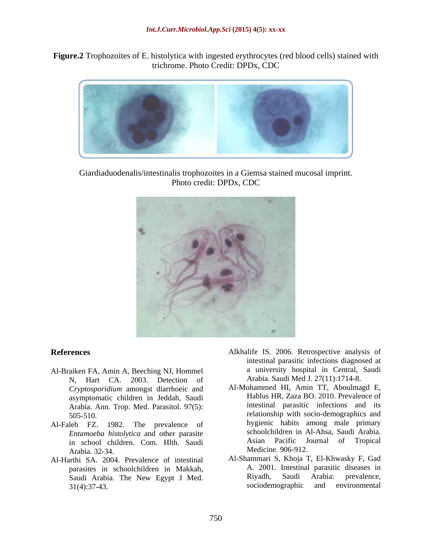**Figure.2** Trophozoites of E. histolytica with ingested erythrocytes (red blood cells) stained with trichrome. Photo Credit: DPDx, CDC



Giardiaduodenalis/intestinalis trophozoites in a Giemsa stained mucosal imprint. Photo credit: DPDx, CDC



- Al-Braiken FA, Amin A, Beeching NJ, Hommel N, Hart CA. 2003. Detection of *Cryptosporidium* amongst diarrhoeic and asymptomatic children in Jeddah, Saudi Arabia. Ann. Trop. Med. Parasitol. 97(5):
- Al-Faleh FZ. 1982. The prevalence of in school children. Com. Hlth. Saudi Arabia. 32-34. Medicine. 906-912.
- Al-Harthi SA. 2004. Prevalence of intestinal  $31(4):37-43.$  sociodemographic
- **References** Alkhalife IS. 2006. Retrospective analysis of intestinal parasitic infections diagnosed at a university hospital in Central, Saudi Arabia. Saudi Med J. 27(11):1714-8.
	- 505-510. relationship with socio-demographics and *Entamoeba histolytica* and other parasite in Schoolchildren in Al-Ahsa, Saudi Arabia.<br>
	in school children Com Hlth Saudi and Asian Pacific Journal of Tropical Al-Mohammed HI, Amin TT, Aboulmagd E, Hablus HR, Zaza BO. 2010. Prevalence of intestinal parasitic infections and its hygienic habits among male primary schoolchildren in Al-Ahsa, Saudi Arabia. Asian Pacific Journal of Tropical
	- parasites in schoolchildren in Makkah, <br>
	Saudi Arabia The New Egypt J Med<br>
	Riyadh, Saudi Arabia: prevalence, Saudi Arabia. The New Egypt J Med.<br>
	Saudi Arabia: prevalence,<br>
	sociodemographic and environmental<br>
	Saudi Arabia: prevalence,<br>
	sociodemographic and environmental Al-Shammari S, Khoja T, El-Khwasky F, Gad A. 2001. Intestinal parasitic diseases in Riyadh, Saudi Arabia: prevalence, sociodemographic and environmental